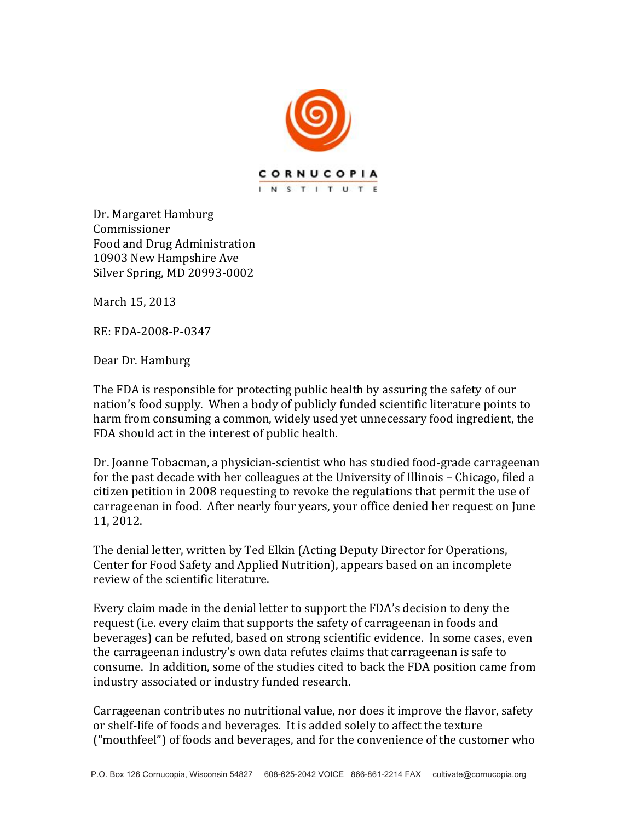

Dr. Margaret Hamburg Commissioner Food and Drug Administration 10903 New Hampshire Ave Silver Spring, MD 20993-0002

March 15, 2013

RE: FDA-2008-P-0347

Dear!Dr. Hamburg

The FDA is responsible for protecting public health by assuring the safety of our nation's food supply. When a body of publicly funded scientific literature points to harm from consuming a common, widely used yet unnecessary food ingredient, the FDA should act in the interest of public health.

Dr. Joanne Tobacman, a physician-scientist who has studied food-grade carrageenan for the past decade with her colleagues at the University of Illinois – Chicago, filed a citizen petition in 2008 requesting to revoke the regulations that permit the use of carrageenan in food. After nearly four years, your office denied her request on June 11, 2012.

The denial letter, written by Ted Elkin (Acting Deputy Director for Operations, Center for Food Safety and Applied Nutrition), appears based on an incomplete review of the scientific literature.

Every claim made in the denial letter to support the FDA's decision to deny the request (i.e. every claim that supports the safety of carrageenan in foods and beverages) can be refuted, based on strong scientific evidence. In some cases, even the carrageenan industry's own data refutes claims that carrageenan is safe to consume. In addition, some of the studies cited to back the FDA position came from industry associated or industry funded research.

Carrageenan contributes no nutritional value, nor does it improve the flavor, safety or shelf-life of foods and beverages. It is added solely to affect the texture ("mouthfeel") of foods and beverages, and for the convenience of the customer who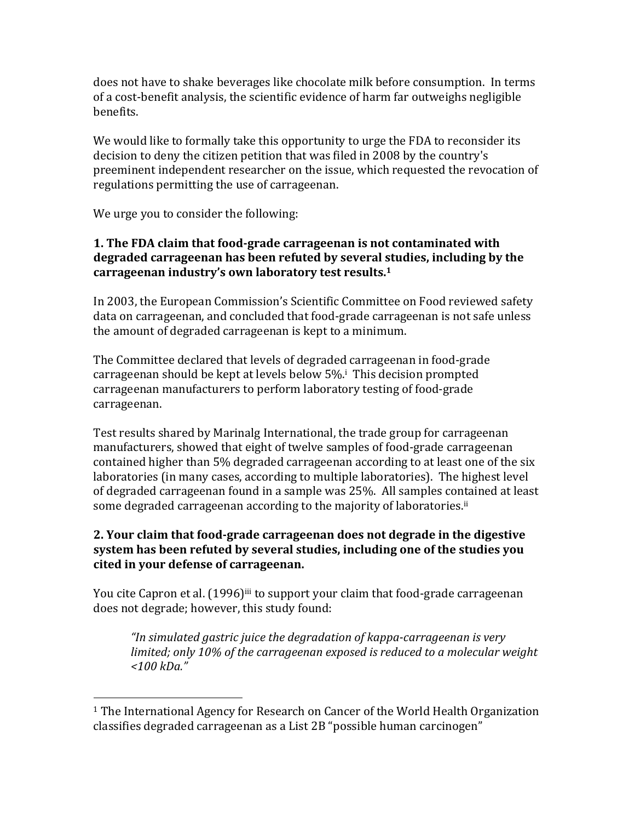does not have to shake beverages like chocolate milk before consumption. In terms of a cost-benefit analysis, the scientific evidence of harm far outweighs negligible benefits.

We would like to formally take this opportunity to urge the FDA to reconsider its decision to deny the citizen petition that was filed in 2008 by the country's preeminent independent researcher on the issue, which requested the revocation of regulations permitting the use of carrageenan.

We urge you to consider the following:

# 1. The FDA claim that food-grade carrageenan is not contaminated with degraded carrageenan has been refuted by several studies, including by the carrageenan industry's own laboratory test results.<sup>1</sup>

In 2003, the European Commission's Scientific Committee on Food reviewed safety data on carrageenan, and concluded that food-grade carrageenan is not safe unless the amount of degraded carrageenan is kept to a minimum.

The Committee declared that levels of degraded carrageenan in food-grade carrageenan should be kept at levels below 5%.<sup>i</sup> This decision prompted carrageenan manufacturers to perform laboratory testing of food-grade carrageenan.

Test results shared by Marinalg International, the trade group for carrageenan manufacturers, showed that eight of twelve samples of food-grade carrageenan contained higher than 5% degraded carrageenan according to at least one of the six laboratories (in many cases, according to multiple laboratories). The highest level of degraded carrageenan found in a sample was 25%. All samples contained at least some degraded carrageenan according to the majority of laboratories.<sup>ii</sup>

# 2. Your claim that food-grade carrageenan does not degrade in the digestive system has been refuted by several studies, including one of the studies you cited in your defense of carrageenan.

You cite Capron et al. (1996)<sup>iii</sup> to support your claim that food-grade carrageenan does not degrade; however, this study found:

"In simulated gastric juice the degradation of kappa-carrageenan is very limited; only 10% of the carrageenan exposed is reduced to a molecular weight  $<$ 100 kDa."

<sup>&</sup>lt;sup>1</sup> The International Agency for Research on Cancer of the World Health Organization classifies degraded carrageenan as a List 2B "possible human carcinogen"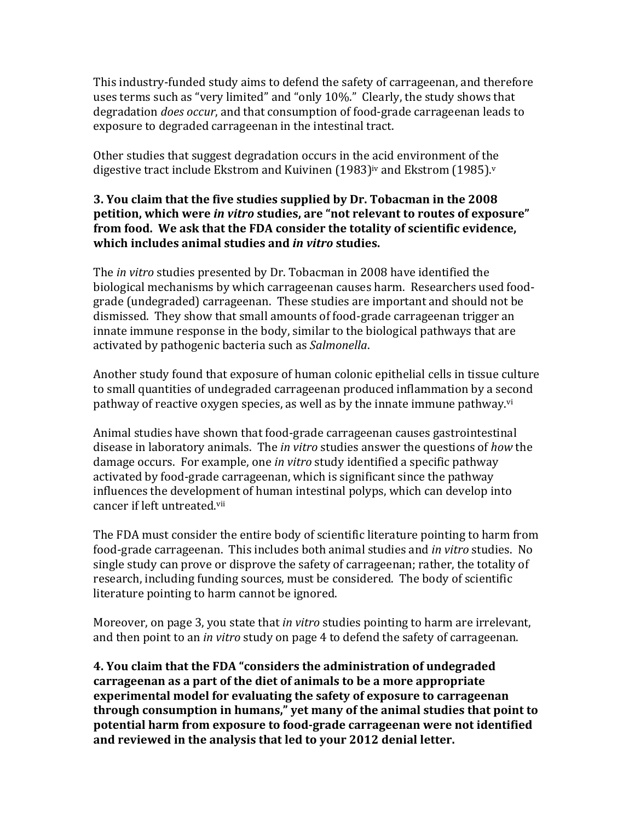This industry-funded study aims to defend the safety of carrageenan, and therefore uses terms such as "very limited" and "only 10%." Clearly, the study shows that degradation *does occur*, and that consumption of food-grade carrageenan leads to exposure to degraded carrageenan in the intestinal tract.

Other studies that suggest degradation occurs in the acid environment of the digestive tract include Ekstrom and Kuivinen  $(1983)$ <sup>iv</sup> and Ekstrom  $(1985)$ .<sup>v</sup>

## 3. You claim that the five studies supplied by Dr. Tobacman in the 2008 petition, which were in vitro studies, are "not relevant to routes of exposure" from food. We ask that the FDA consider the totality of scientific evidence, which includes animal studies and in vitro studies.

The *in vitro* studies presented by Dr. Tobacman in 2008 have identified the biological mechanisms by which carrageenan causes harm. Researchers used foodgrade (undegraded) carrageenan. These studies are important and should not be dismissed. They show that small amounts of food-grade carrageenan trigger an innate immune response in the body, similar to the biological pathways that are activated by pathogenic bacteria such as Salmonella.

Another study found that exposure of human colonic epithelial cells in tissue culture to small quantities of undegraded carrageenan produced inflammation by a second pathway of reactive oxygen species, as well as by the innate immune pathway.<sup>vi</sup>

Animal studies have shown that food-grade carrageenan causes gastrointestinal disease in laboratory animals. The *in vitro* studies answer the questions of *how* the damage occurs. For example, one in vitro study identified a specific pathway activated by food-grade carrageenan, which is significant since the pathway influences the development of human intestinal polyps, which can develop into cancer if left untreated.vii

The FDA must consider the entire body of scientific literature pointing to harm from food-grade carrageenan. This includes both animal studies and *in vitro* studies. No single study can prove or disprove the safety of carrageenan; rather, the totality of research, including funding sources, must be considered. The body of scientific literature pointing to harm cannot be ignored.

Moreover, on page 3, you state that *in vitro* studies pointing to harm are irrelevant, and then point to an in vitro study on page 4 to defend the safety of carrageenan.

4. You claim that the FDA "considers the administration of undegraded carrageenan as a part of the diet of animals to be a more appropriate experimental model for evaluating the safety of exposure to carrageenan through consumption in humans," yet many of the animal studies that point to potential harm from exposure to food-grade carrageenan were not identified and reviewed in the analysis that led to your 2012 denial letter.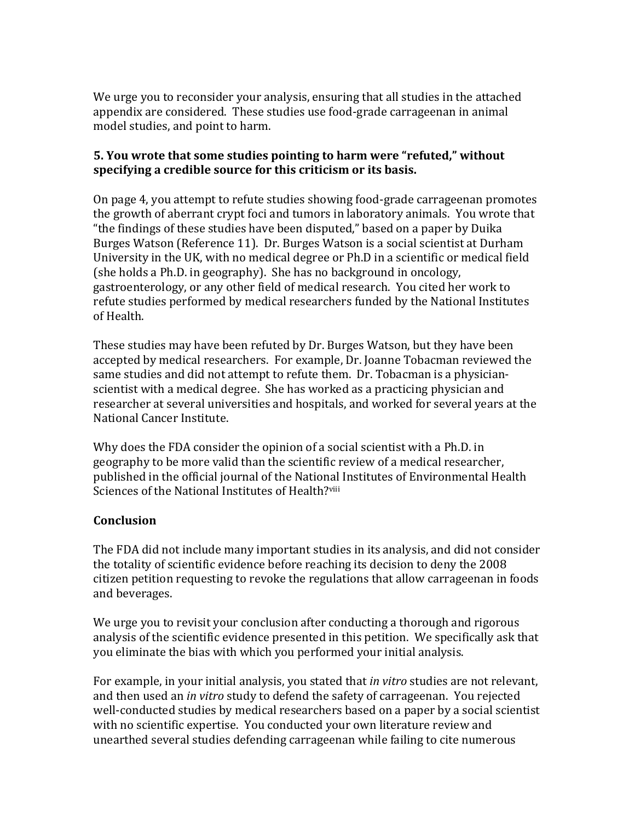We urge you to reconsider your analysis, ensuring that all studies in the attached appendix are considered. These studies use food-grade carrageenan in animal model studies, and point to harm.

### **5. You wrote that some studies pointing to harm were "refuted," without** specifying a credible source for this criticism or its basis.

On page 4, you attempt to refute studies showing food-grade carrageenan promotes the growth of aberrant crypt foci and tumors in laboratory animals. You wrote that "the findings of these studies have been disputed," based on a paper by Duika Burges Watson (Reference 11). Dr. Burges Watson is a social scientist at Durham University in the UK, with no medical degree or Ph.D in a scientific or medical field (she holds a Ph.D. in geography). She has no background in oncology, gastroenterology, or any other field of medical research. You cited her work to refute studies performed by medical researchers funded by the National Institutes of Health.

These studies may have been refuted by Dr. Burges Watson, but they have been accepted by medical researchers. For example, Dr. Joanne Tobacman reviewed the same studies and did not attempt to refute them. Dr. Tobacman is a physicianscientist with a medical degree. She has worked as a practicing physician and researcher at several universities and hospitals, and worked for several years at the National Cancer Institute.

Why does the FDA consider the opinion of a social scientist with a Ph.D. in geography to be more valid than the scientific review of a medical researcher, published in the official journal of the National Institutes of Environmental Health Sciences of the National Institutes of Health?viii

#### **Conclusion**

The FDA did not include many important studies in its analysis, and did not consider the totality of scientific evidence before reaching its decision to deny the 2008 citizen petition requesting to revoke the regulations that allow carrageenan in foods and beverages.

We urge you to revisit your conclusion after conducting a thorough and rigorous analysis of the scientific evidence presented in this petition. We specifically ask that you eliminate the bias with which you performed your initial analysis.

For example, in your initial analysis, you stated that *in vitro* studies are not relevant, and then used an *in vitro* study to defend the safety of carrageenan. You rejected well-conducted studies by medical researchers based on a paper by a social scientist with no scientific expertise. You conducted your own literature review and unearthed several studies defending carrageenan while failing to cite numerous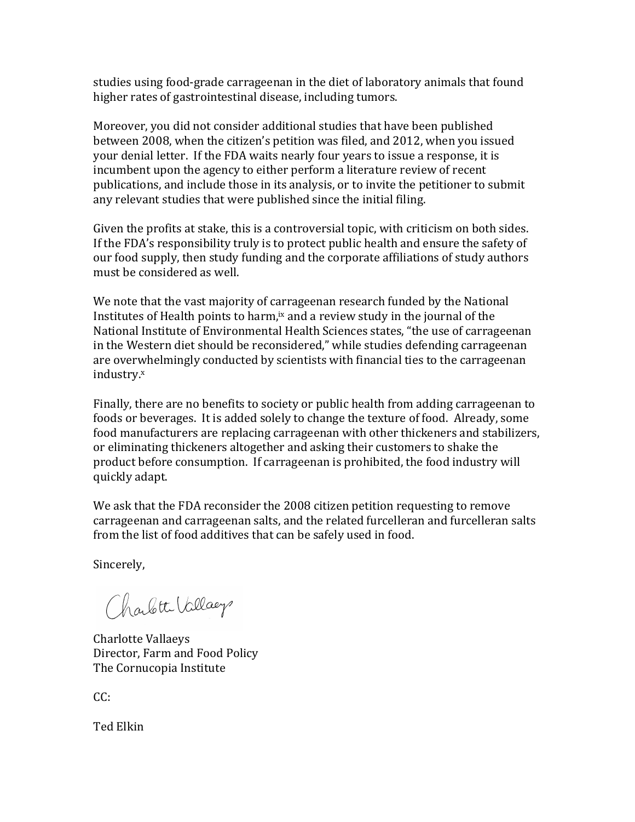studies using food-grade carrageenan in the diet of laboratory animals that found higher rates of gastrointestinal disease, including tumors.

Moreover, you did not consider additional studies that have been published between 2008, when the citizen's petition was filed, and 2012, when you issued your denial letter. If the FDA waits nearly four years to issue a response, it is incumbent upon the agency to either perform a literature review of recent publications, and include those in its analysis, or to invite the petitioner to submit any relevant studies that were published since the initial filing.

Given the profits at stake, this is a controversial topic, with criticism on both sides. If the FDA's responsibility truly is to protect public health and ensure the safety of our food supply, then study funding and the corporate affiliations of study authors must be considered as well.

We note that the vast majority of carrageenan research funded by the National Institutes of Health points to harm,<sup>ix</sup> and a review study in the journal of the National Institute of Environmental Health Sciences states, "the use of carrageenan" in the Western diet should be reconsidered," while studies defending carrageenan are overwhelmingly conducted by scientists with financial ties to the carrageenan industry.<sup>x</sup>

Finally, there are no benefits to society or public health from adding carrageenan to foods or beverages. It is added solely to change the texture of food. Already, some food manufacturers are replacing carrageenan with other thickeners and stabilizers, or eliminating thickeners altogether and asking their customers to shake the product before consumption. If carrageenan is prohibited, the food industry will quickly adapt.

We ask that the FDA reconsider the 2008 citizen petition requesting to remove carrageenan and carrageenan salts, and the related furcelleran and furcelleran salts from the list of food additives that can be safely used in food.

Sincerely,

Charlotte Vallage

Charlotte Vallaeys Director, Farm and Food Policy The Cornucopia Institute

 $CC:$ 

Ted Elkin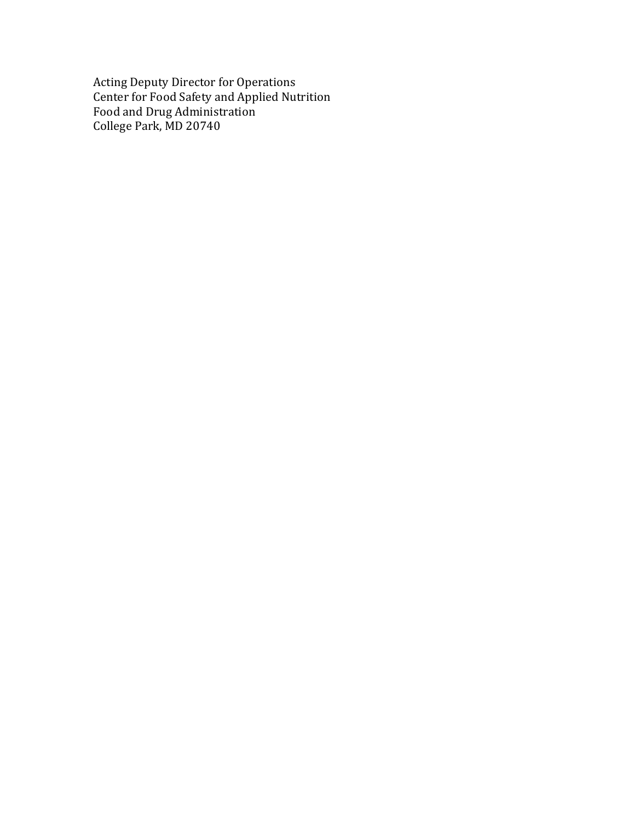Acting Deputy Director for Operations Center for Food Safety and Applied Nutrition Food and Drug Administration College Park, MD 20740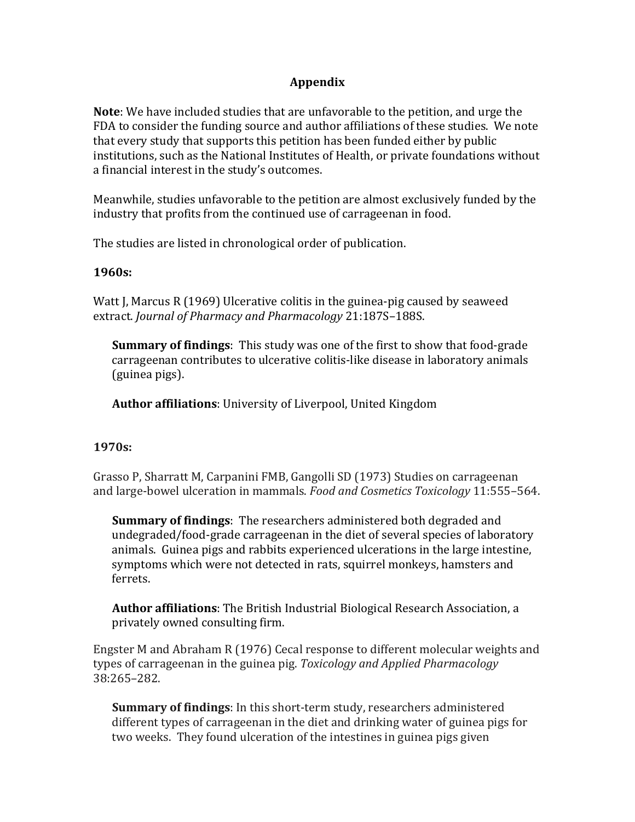### **Appendix**

**Note**: We have included studies that are unfavorable to the petition, and urge the FDA to consider the funding source and author affiliations of these studies. We note that every study that supports this petition has been funded either by public institutions, such as the National Institutes of Health, or private foundations without a financial interest in the study's outcomes.

Meanwhile, studies unfavorable to the petition are almost exclusively funded by the industry that profits from the continued use of carrageenan in food.

The studies are listed in chronological order of publication.

#### **1960s:**

Watt J, Marcus R (1969) Ulcerative colitis in the guinea-pig caused by seaweed extract. *Journal of Pharmacy and Pharmacology* 21:187S-188S.

**Summary of findings**: This study was one of the first to show that food-grade carrageenan contributes to ulcerative colitis-like disease in laboratory animals (guinea pigs).

Author affiliations: University of Liverpool, United Kingdom

#### **1970s:**

Grasso P, Sharratt M, Carpanini FMB, Gangolli SD (1973) Studies on carrageenan and large-bowel ulceration in mammals. *Food and Cosmetics Toxicology* 11:555–564.

**Summary of findings**: The researchers administered both degraded and undegraded/food-grade carrageenan in the diet of several species of laboratory animals. Guinea pigs and rabbits experienced ulcerations in the large intestine, symptoms which were not detected in rats, squirrel monkeys, hamsters and ferrets.

**Author affiliations**: The British Industrial Biological Research Association, a privately owned consulting firm.

Engster M and Abraham R (1976) Cecal response to different molecular weights and types of carrageenan in the guinea pig. *Toxicology and Applied Pharmacology* 38:265–282.

**Summary of findings**: In this short-term study, researchers administered different types of carrageenan in the diet and drinking water of guinea pigs for two weeks. They found ulceration of the intestines in guinea pigs given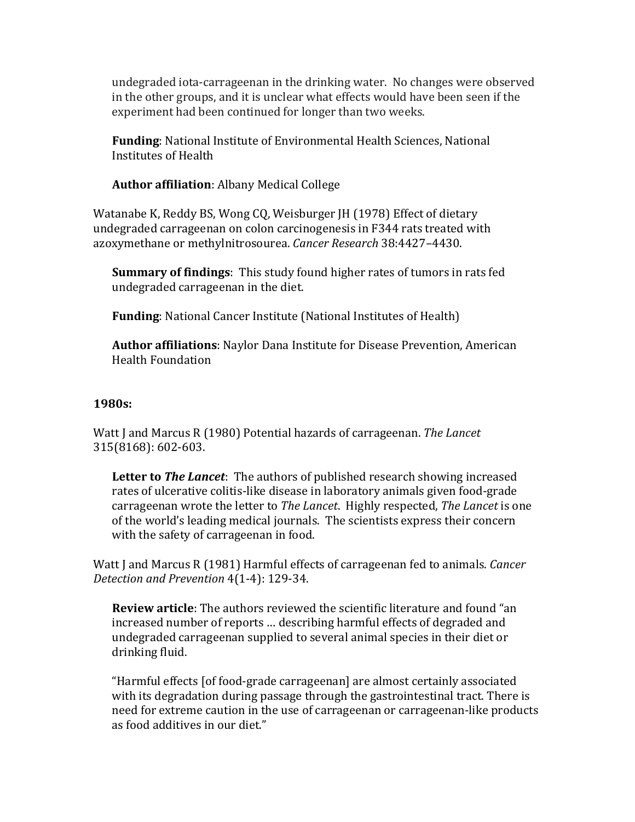undegraded iota-carrageenan in the drinking water. No changes were observed in the other groups, and it is unclear what effects would have been seen if the experiment had been continued for longer than two weeks.

**Funding: National Institute of Environmental Health Sciences, National** Institutes of Health

**Author affiliation: Albany Medical College** 

Watanabe K, Reddy BS, Wong CQ, Weisburger JH (1978) Effect of dietary undegraded carrageenan on colon carcinogenesis in F344 rats treated with azoxymethane or methylnitrosourea. Cancer Research 38:4427-4430.

**Summary of findings:** This study found higher rates of tumors in rats fed undegraded carrageenan in the diet.

**Funding:** National Cancer Institute (National Institutes of Health)

**Author affiliations: Naylor Dana Institute for Disease Prevention, American Health Foundation** 

#### 1980s:

Watt J and Marcus R (1980) Potential hazards of carrageenan. The Lancet 315(8168): 602-603.

Letter to The Lancet: The authors of published research showing increased rates of ulcerative colitis-like disease in laboratory animals given food-grade carrageenan wrote the letter to The Lancet. Highly respected, The Lancet is one of the world's leading medical journals. The scientists express their concern with the safety of carrageenan in food.

Watt J and Marcus R (1981) Harmful effects of carrageenan fed to animals. Cancer Detection and Prevention 4(1-4): 129-34.

**Review article:** The authors reviewed the scientific literature and found "an increased number of reports ... describing harmful effects of degraded and undegraded carrageenan supplied to several animal species in their diet or drinking fluid.

"Harmful effects [of food-grade carrageenan] are almost certainly associated with its degradation during passage through the gastrointestinal tract. There is need for extreme caution in the use of carrageenan or carrageenan-like products as food additives in our diet."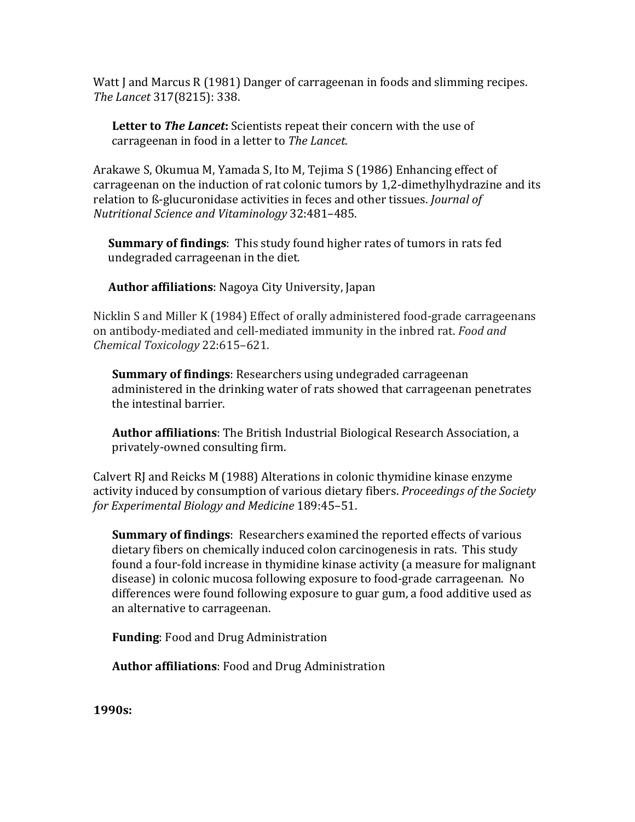Watt J and Marcus R (1981) Danger of carrageenan in foods and slimming recipes. The Lancet 317(8215): 338.

Letter to The Lancet: Scientists repeat their concern with the use of carrageenan in food in a letter to The Lancet.

Arakawe S, Okumua M, Yamada S, Ito M, Tejima S (1986) Enhancing effect of carrageenan on the induction of rat colonic tumors by 1.2-dimethylhydrazine and its relation to B-glucuronidase activities in feces and other tissues. Journal of Nutritional Science and Vitaminoloav 32:481-485.

**Summary of findings:** This study found higher rates of tumors in rats fed undegraded carrageenan in the diet.

**Author affiliations: Nagoya City University, Japan** 

Nicklin S and Miller K (1984) Effect of orally administered food-grade carrageenans on antibody-mediated and cell-mediated immunity in the inbred rat. Food and Chemical Toxicology 22:615-621.

**Summary of findings:** Researchers using undegraded carrageenan administered in the drinking water of rats showed that carrageenan penetrates the intestinal barrier.

**Author affiliations:** The British Industrial Biological Research Association, a privately-owned consulting firm.

Calvert RJ and Reicks M (1988) Alterations in colonic thymidine kinase enzyme activity induced by consumption of various dietary fibers. Proceedings of the Society for Experimental Biology and Medicine 189:45-51.

**Summary of findings:** Researchers examined the reported effects of various dietary fibers on chemically induced colon carcinogenesis in rats. This study found a four-fold increase in thymidine kinase activity (a measure for malignant disease) in colonic mucosa following exposure to food-grade carrageenan. No differences were found following exposure to guar gum, a food additive used as an alternative to carrageenan.

**Funding: Food and Drug Administration** 

**Author affiliations: Food and Drug Administration** 

1990s: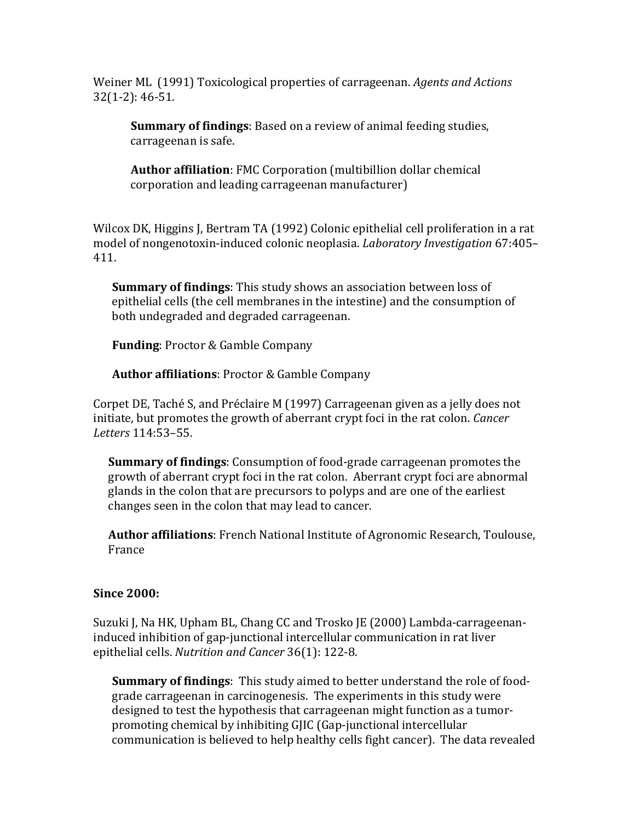Weiner ML (1991) Toxicological properties of carrageenan. Agents and Actions  $32(1-2): 46-51.$ 

**Summary of findings:** Based on a review of animal feeding studies. carrageenan is safe.

**Author affiliation: FMC Corporation (multibillion dollar chemical)** corporation and leading carrageenan manufacturer)

Wilcox DK, Higgins J, Bertram TA (1992) Colonic epithelial cell proliferation in a rat model of nongenotoxin-induced colonic neoplasia. Laboratory Investigation 67:405-411.

**Summary of findings:** This study shows an association between loss of epithelial cells (the cell membranes in the intestine) and the consumption of both undegraded and degraded carrageenan.

**Funding: Proctor & Gamble Company** 

**Author affiliations: Proctor & Gamble Company** 

Corpet DE, Taché S, and Préclaire M (1997) Carrageenan given as a jelly does not initiate, but promotes the growth of aberrant crypt foci in the rat colon. Cancer Letters 114:53-55.

Summary of findings: Consumption of food-grade carrageenan promotes the growth of aberrant crypt foci in the rat colon. Aberrant crypt foci are abnormal glands in the colon that are precursors to polyps and are one of the earliest changes seen in the colon that may lead to cancer.

Author affiliations: French National Institute of Agronomic Research, Toulouse, France

#### **Since 2000:**

Suzuki J, Na HK, Upham BL, Chang CC and Trosko JE (2000) Lambda-carrageenaninduced inhibition of gap-junctional intercellular communication in rat liver epithelial cells. Nutrition and Cancer 36(1): 122-8.

**Summary of findings:** This study aimed to better understand the role of foodgrade carrageenan in carcinogenesis. The experiments in this study were designed to test the hypothesis that carrageenan might function as a tumorpromoting chemical by inhibiting GJIC (Gap-junctional intercellular communication is believed to help healthy cells fight cancer). The data revealed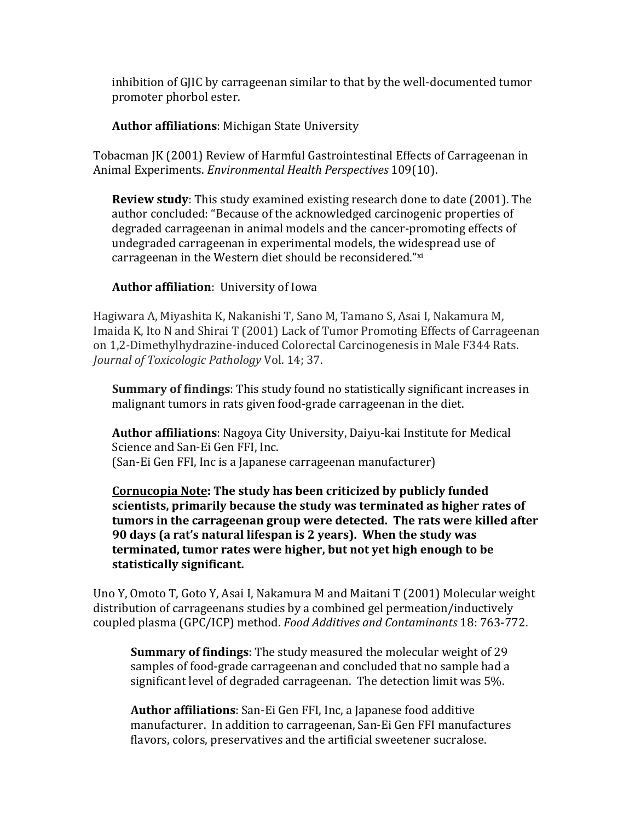inhibition of GJIC by carrageenan similar to that by the well-documented tumor promoter phorbol ester.

**Author affiliations: Michigan State University** 

Tobacman JK (2001) Review of Harmful Gastrointestinal Effects of Carrageenan in Animal Experiments. *Environmental Health Perspectives* 109(10).

**Review study**: This study examined existing research done to date (2001). The author concluded: "Because of the acknowledged carcinogenic properties of degraded carrageenan in animal models and the cancer-promoting effects of undegraded carrageenan in experimental models, the widespread use of carrageenan in the Western diet should be reconsidered."xi

# **Author affiliation**: University of Iowa

Hagiwara A, Miyashita K, Nakanishi T, Sano M, Tamano S, Asai I, Nakamura M, Imaida K, Ito N and Shirai T (2001) Lack of Tumor Promoting Effects of Carrageenan on 1,2-Dimethylhydrazine-induced Colorectal Carcinogenesis in Male F344 Rats. *Journal of Toxicologic Pathology Vol. 14; 37.* 

**Summary of findings**: This study found no statistically significant increases in malignant tumors in rats given food-grade carrageenan in the diet.

Author affiliations: Nagoya City University, Daiyu-kai Institute for Medical Science and San-Ei Gen FFI, Inc. (San-Ei Gen FFI, Inc is a Japanese carrageenan manufacturer)

**Cornucopia Note: The study has been criticized by publicly funded** scientists, primarily because the study was terminated as higher rates of tumors in the carrageenan group were detected. The rats were killed after **90 days (a rat's natural lifespan is 2 years). When the study was** terminated, tumor rates were higher, but not vet high enough to be **statistically#significant.#**

Uno Y, Omoto T, Goto Y, Asai I, Nakamura M and Maitani T (2001) Molecular weight distribution of carrageenans studies by a combined gel permeation/inductively coupled plasma (GPC/ICP) method. *Food Additives and Contaminants* 18: 763-772.

**Summary of findings**: The study measured the molecular weight of 29 samples of food-grade carrageenan and concluded that no sample had a significant level of degraded carrageenan. The detection limit was 5%.

**Author affiliations**: San-Ei Gen FFI, Inc, a Japanese food additive manufacturer. In addition to carrageenan, San-Ei Gen FFI manufactures flavors, colors, preservatives and the artificial sweetener sucralose.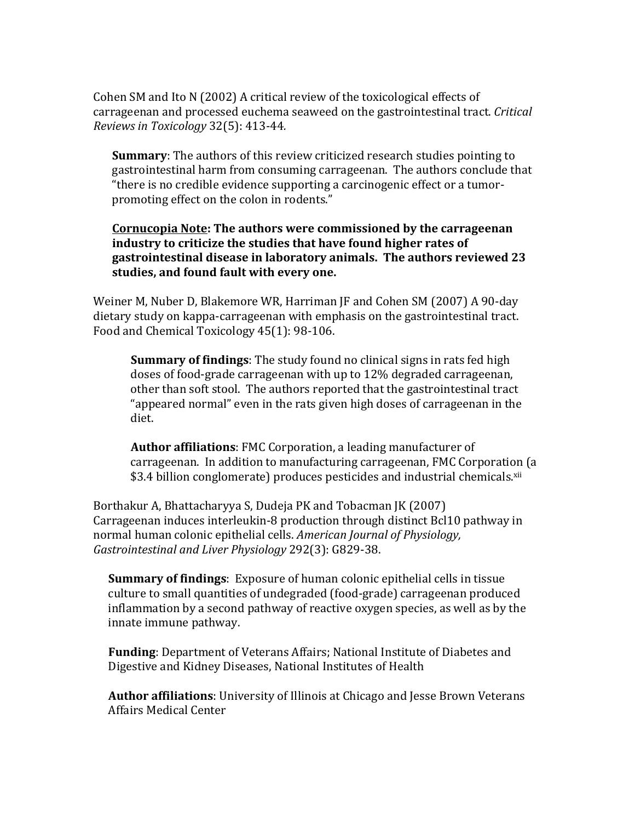Cohen SM and Ito N (2002) A critical review of the toxicological effects of carrageenan and processed euchema seaweed on the gastrointestinal tract. Critical Reviews in Toxicology 32(5): 413-44.

**Summary:** The authors of this review criticized research studies pointing to gastrointestinal harm from consuming carrageenan. The authors conclude that "there is no credible evidence supporting a carcinogenic effect or a tumorpromoting effect on the colon in rodents."

#### **Cornucopia Note: The authors were commissioned by the carrageenan** industry to criticize the studies that have found higher rates of gastrointestinal disease in laboratory animals. The authors reviewed 23 studies, and found fault with every one.

Weiner M, Nuber D, Blakemore WR, Harriman JF and Cohen SM (2007) A 90-day dietary study on kappa-carrageenan with emphasis on the gastrointestinal tract. Food and Chemical Toxicology 45(1): 98-106.

**Summary of findings:** The study found no clinical signs in rats fed high doses of food-grade carrageenan with up to 12% degraded carrageenan, other than soft stool. The authors reported that the gastrointestinal tract "appeared normal" even in the rats given high doses of carrageenan in the diet.

**Author affiliations:** FMC Corporation, a leading manufacturer of carrageenan. In addition to manufacturing carrageenan, FMC Corporation (a \$3.4 billion conglomerate) produces pesticides and industrial chemicals.xii

Borthakur A, Bhattacharyya S, Dudeja PK and Tobacman JK (2007) Carrageenan induces interleukin-8 production through distinct Bcl10 pathway in normal human colonic epithelial cells. American Journal of Physiology, Gastrointestinal and Liver Physiology 292(3): G829-38.

**Summary of findings:** Exposure of human colonic epithelial cells in tissue culture to small quantities of undegraded (food-grade) carrageenan produced inflammation by a second pathway of reactive oxygen species, as well as by the innate immune pathway.

**Funding:** Department of Veterans Affairs; National Institute of Diabetes and Digestive and Kidney Diseases, National Institutes of Health

Author affiliations: University of Illinois at Chicago and Jesse Brown Veterans Affairs Medical Center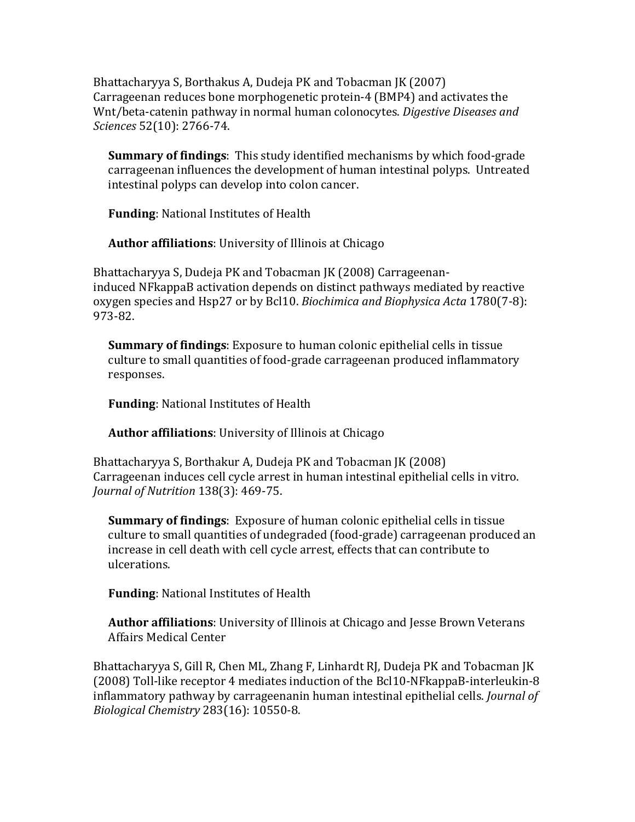Bhattacharyya S, Borthakus A, Dudeja PK and Tobacman JK (2007). Carrageenan reduces bone morphogenetic protein-4 (BMP4) and activates the Wnt/beta-catenin pathway in normal human colonocytes. *Digestive Diseases and Sciences* 52(10): 2766-74.

**Summary of findings**: This study identified mechanisms by which food-grade carrageenan influences the development of human intestinal polyps. Untreated intestinal polyps can develop into colon cancer.

**Funding: National Institutes of Health** 

**Author affiliations**: University of Illinois at Chicago

Bhattacharyya S, Dudeja PK and Tobacman JK (2008) Carrageenaninduced NFkappaB activation depends on distinct pathways mediated by reactive oxygen species and Hsp27 or by Bcl10. *Biochimica and Biophysica Acta* 1780(7-8): 973-82.

**Summary of findings**: Exposure to human colonic epithelial cells in tissue culture to small quantities of food-grade carrageenan produced inflammatory responses.

**Funding**: National Institutes of Health

Author affiliations: University of Illinois at Chicago

Bhattacharyya S, Borthakur A, Dudeja PK and Tobacman JK (2008) Carrageenan induces cell cycle arrest in human intestinal epithelial cells in vitro. *Journal of Nutrition* 138(3): 469-75.

**Summary of findings**: Exposure of human colonic epithelial cells in tissue culture to small quantities of undegraded (food-grade) carrageenan produced an increase in cell death with cell cycle arrest, effects that can contribute to ulcerations.

**Funding: National Institutes of Health** 

**Author affiliations**: University of Illinois at Chicago and Jesse Brown Veterans Affairs Medical Center

Bhattacharyya S, Gill R, Chen ML, Zhang F, Linhardt RJ, Dudeja PK and Tobacman JK (2008) Toll-like receptor 4 mediates induction of the Bcl10-NFkappaB-interleukin-8 inflammatory pathway by carrageenanin human intestinal epithelial cells. *Journal of Biological Chemistry* 283(16): 10550-8.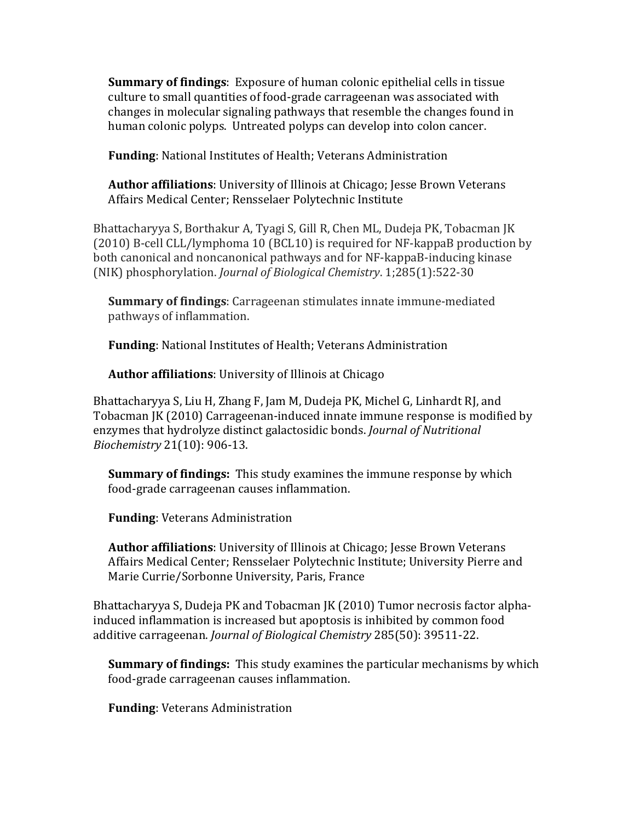**Summary of findings**: Exposure of human colonic epithelial cells in tissue culture to small quantities of food-grade carrageenan was associated with changes in molecular signaling pathways that resemble the changes found in human colonic polyps. Untreated polyps can develop into colon cancer.

**Funding**: National Institutes of Health; Veterans Administration

**Author affiliations**: University of Illinois at Chicago; Jesse Brown Veterans Affairs Medical Center; Rensselaer Polytechnic Institute

Bhattacharyya S, Borthakur A, Tyagi S, Gill R, Chen ML, Dudeja PK, Tobacman JK (2010) B-cell CLL/lymphoma 10 (BCL10) is required for NF-kappaB production by both canonical and noncanonical pathways and for NF-kappaB-inducing kinase (NIK) phosphorylation. *Journal of Biological Chemistry*. 1;285(1):522-30

**Summary of findings**: Carrageenan stimulates innate immune-mediated pathways of inflammation.

**Funding**: National Institutes of Health; Veterans Administration

**Author affiliations**: University of Illinois at Chicago

Bhattacharyya S, Liu H, Zhang F, Jam M, Dudeja PK, Michel G, Linhardt RJ, and Tobacman JK (2010) Carrageenan-induced innate immune response is modified by enzymes that hydrolyze distinct galactosidic bonds. *Journal of Nutritional Biochemistry* 21(10): 906-13.

**Summary of findings:** This study examines the immune response by which food-grade carrageenan causes inflammation.

**Funding**: Veterans Administration

**Author affiliations**: University of Illinois at Chicago; Jesse Brown Veterans Affairs Medical Center; Rensselaer Polytechnic Institute; University Pierre and Marie Currie/Sorbonne University, Paris, France

Bhattacharyya S, Dudeja PK and Tobacman JK (2010) Tumor necrosis factor alphainduced inflammation is increased but apoptosis is inhibited by common food additive carrageenan. *Journal of Biological Chemistry* 285(50): 39511-22.

**Summary of findings:** This study examines the particular mechanisms by which food-grade carrageenan causes inflammation.

**Funding**: Veterans Administration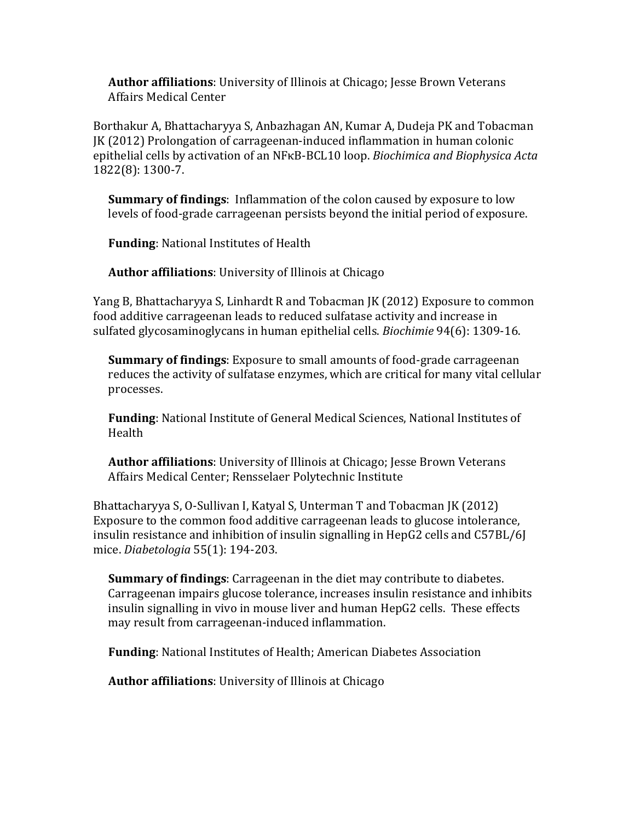**Author affiliations**: University of Illinois at Chicago; Jesse Brown Veterans Affairs Medical Center

Borthakur A, Bhattacharyya S, Anbazhagan AN, Kumar A, Dudeja PK and Tobacman  $IK(2012)$  Prolongation of carrageenan-induced inflammation in human colonic epithelial!cells!by activation of!an!NFκBCBCL10!loop.!*Biochimica!and!Biophysica!Acta* 1822(8): 1300-7.

**Summary of findings**: Inflammation of the colon caused by exposure to low levels of food-grade carrageenan persists beyond the initial period of exposure.

**Funding: National Institutes of Health** 

Author affiliations: University of Illinois at Chicago

Yang B, Bhattacharyya S, Linhardt R and Tobacman JK (2012) Exposure to common food additive carrageenan leads to reduced sulfatase activity and increase in sulfated glycosaminoglycans in human epithelial cells. *Biochimie* 94(6): 1309-16.

**Summary of findings**: Exposure to small amounts of food-grade carrageenan reduces the activity of sulfatase enzymes, which are critical for many vital cellular processes.

**Funding**: National Institute of General Medical Sciences, National Institutes of Health

Author affiliations: University of Illinois at Chicago; Jesse Brown Veterans Affairs Medical Center; Rensselaer Polytechnic Institute

Bhattacharyya S, O-Sullivan I, Katyal S, Unterman T and Tobacman JK (2012) Exposure to the common food additive carrageenan leads to glucose intolerance, insulin resistance and inhibition of insulin signalling in  $HepG2$  cells and  $C57BL/6J$ mice. *Diabetologia* 55(1): 194-203.

**Summary of findings**: Carrageenan in the diet may contribute to diabetes. Carrageenan impairs glucose tolerance, increases insulin resistance and inhibits insulin signalling in vivo in mouse liver and human HepG2 cells. These effects may result from carrageenan-induced inflammation.

**Funding**: National Institutes of Health; American Diabetes Association

**Author affiliations**: University of Illinois at Chicago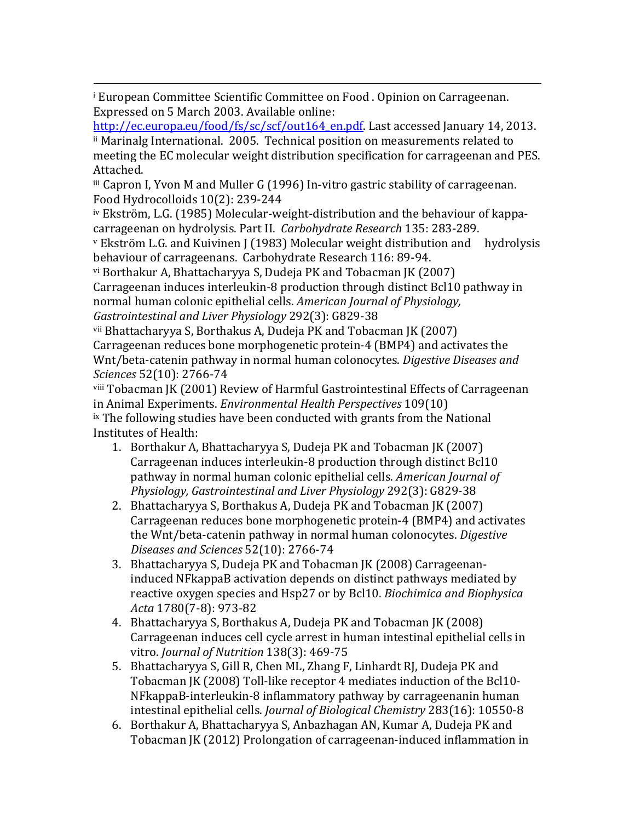<sup>i</sup> European Committee Scientific Committee on Food. Opinion on Carrageenan. Expressed on 5 March 2003. Available online:

http://ec.europa.eu/food/fs/sc/scf/out164\_en.pdf. Last accessed January 14, 2013. ii Marinalg International. 2005. Technical position on measurements related to meeting the EC molecular weight distribution specification for carrageenan and PES. Attached.

iii Capron I, Yvon M and Muller G (1996) In-vitro gastric stability of carrageenan. Food Hydrocolloids 10(2): 239-244

iv Ekström, L.G. (1985) Molecular-weight-distribution and the behaviour of kappacarrageenan on hydrolysis. Part II. Carbohydrate Research 135: 283-289.

v Ekström L.G. and Kuivinen J (1983) Molecular weight distribution and hydrolysis behaviour of carrageenans. Carbohydrate Research 116: 89-94.

vi Borthakur A, Bhattacharyya S, Dudeja PK and Tobacman JK (2007) Carrageenan induces interleukin-8 production through distinct Bcl10 pathway in normal human colonic epithelial cells. American Journal of Physiology, Gastrointestinal and Liver Physiology 292(3): G829-38

<sup>vii</sup> Bhattacharyya S, Borthakus A, Dudeja PK and Tobacman JK (2007) Carrageenan reduces bone morphogenetic protein-4 (BMP4) and activates the Wnt/beta-catenin pathway in normal human colonocytes. Digestive Diseases and Sciences 52(10): 2766-74

viii Tobacman JK (2001) Review of Harmful Gastrointestinal Effects of Carrageenan in Animal Experiments. Environmental Health Perspectives 109(10) <sup>ix</sup> The following studies have been conducted with grants from the National Institutes of Health:

- 1. Borthakur A, Bhattacharyya S, Dudeja PK and Tobacman JK (2007) Carrageenan induces interleukin-8 production through distinct Bcl10 pathway in normal human colonic epithelial cells. American Journal of Physiology, Gastrointestinal and Liver Physiology 292(3): G829-38
- 2. Bhattacharyya S, Borthakus A, Dudeja PK and Tobacman JK (2007) Carrageenan reduces bone morphogenetic protein-4 (BMP4) and activates the Wnt/beta-catenin pathway in normal human colonocytes. Digestive Diseases and Sciences 52(10): 2766-74
- 3. Bhattacharyya S, Dudeja PK and Tobacman JK (2008) Carrageenaninduced NF kappaB activation depends on distinct pathways mediated by reactive oxygen species and Hsp27 or by Bcl10. Biochimica and Biophysica Acta 1780(7-8): 973-82
- 4. Bhattacharyya S, Borthakus A, Dudeja PK and Tobacman JK (2008) Carrageenan induces cell cycle arrest in human intestinal epithelial cells in vitro. Journal of Nutrition 138(3): 469-75
- 5. Bhattacharyya S, Gill R, Chen ML, Zhang F, Linhardt RJ, Dudeja PK and Tobacman JK (2008) Toll-like receptor 4 mediates induction of the Bcl10-NFkappaB-interleukin-8 inflammatory pathway by carrageenanin human intestinal epithelial cells. Journal of Biological Chemistry 283(16): 10550-8
- 6. Borthakur A, Bhattacharyya S, Anbazhagan AN, Kumar A, Dudeja PK and Tobacman JK (2012) Prolongation of carrageenan-induced inflammation in